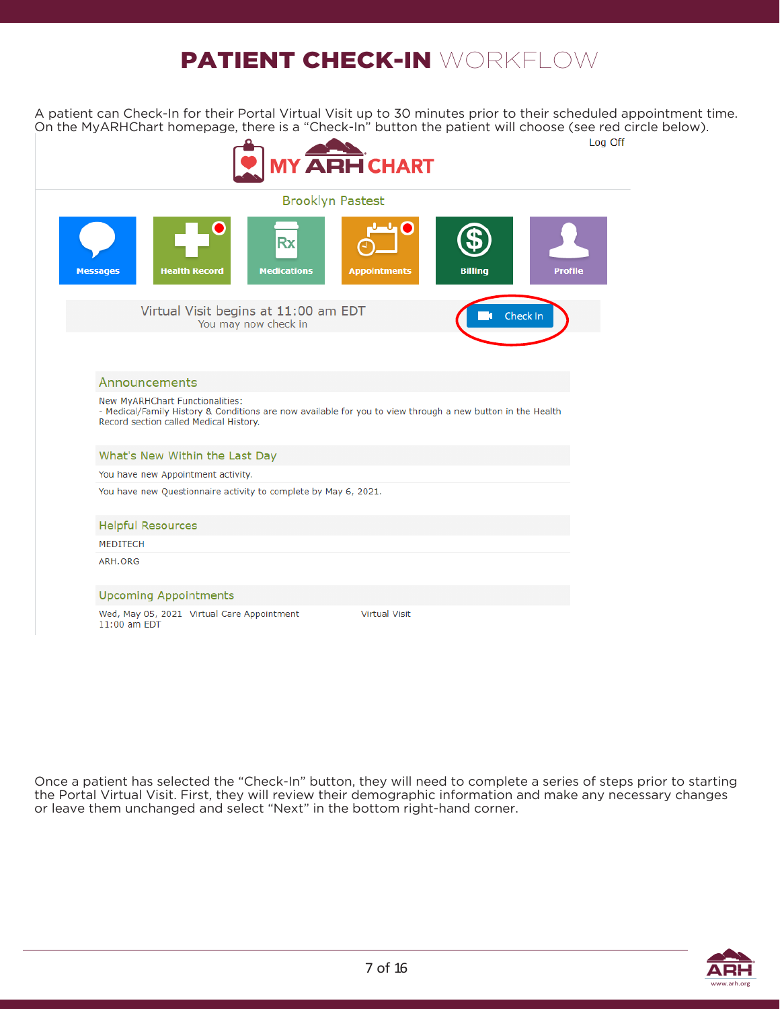# PATIENT CHECK-IN WORKELOW

A patient can Check-In for their Portal Virtual Visit up to 30 minutes prior to their scheduled appointment time. On the MyARHChart homepage, there is a "Check-In" button the patient will choose (see red circle below).



Once a patient has selected the "Check-In" button, they will need to complete a series of steps prior to starting the Portal Virtual Visit. First, they will review their demographic information and make any necessary changes or leave them unchanged and select "Next" in the bottom right-hand corner.

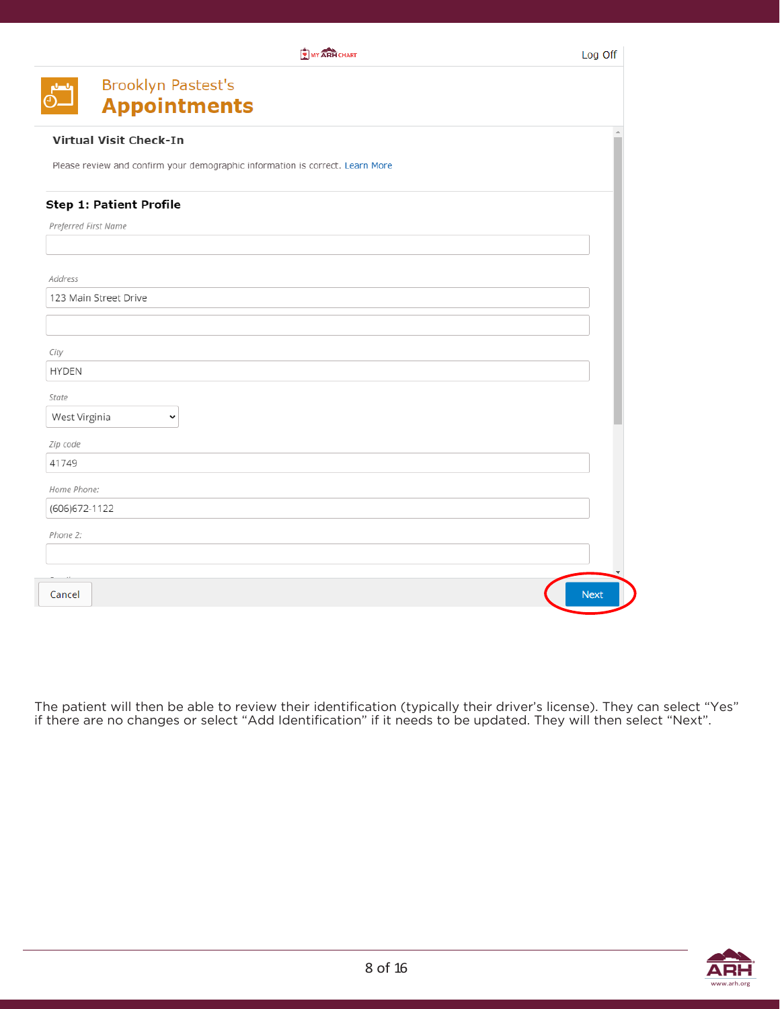|                                | MY ARH CHART                                                                  | Log Off     |
|--------------------------------|-------------------------------------------------------------------------------|-------------|
|                                | Brooklyn Pastest's                                                            |             |
|                                | <b>Appointments</b>                                                           |             |
| <b>Virtual Visit Check-In</b>  |                                                                               |             |
|                                | Please review and confirm your demographic information is correct. Learn More |             |
| <b>Step 1: Patient Profile</b> |                                                                               |             |
| Preferred First Name           |                                                                               |             |
|                                |                                                                               |             |
| Address                        |                                                                               |             |
| 123 Main Street Drive          |                                                                               |             |
|                                |                                                                               |             |
| City                           |                                                                               |             |
| <b>HYDEN</b>                   |                                                                               |             |
| State                          |                                                                               |             |
| West Virginia                  | v                                                                             |             |
| Zip code                       |                                                                               |             |
| 41749                          |                                                                               |             |
| Home Phone:                    |                                                                               |             |
| (606) 672-1122                 |                                                                               |             |
| Phone 2:                       |                                                                               |             |
|                                |                                                                               |             |
|                                |                                                                               |             |
| Cancel                         |                                                                               | <b>Next</b> |

The patient will then be able to review their identification (typically their driver's license). They can select "Yes" if there are no changes or select "Add Identification" if it needs to be updated. They will then select "Next".

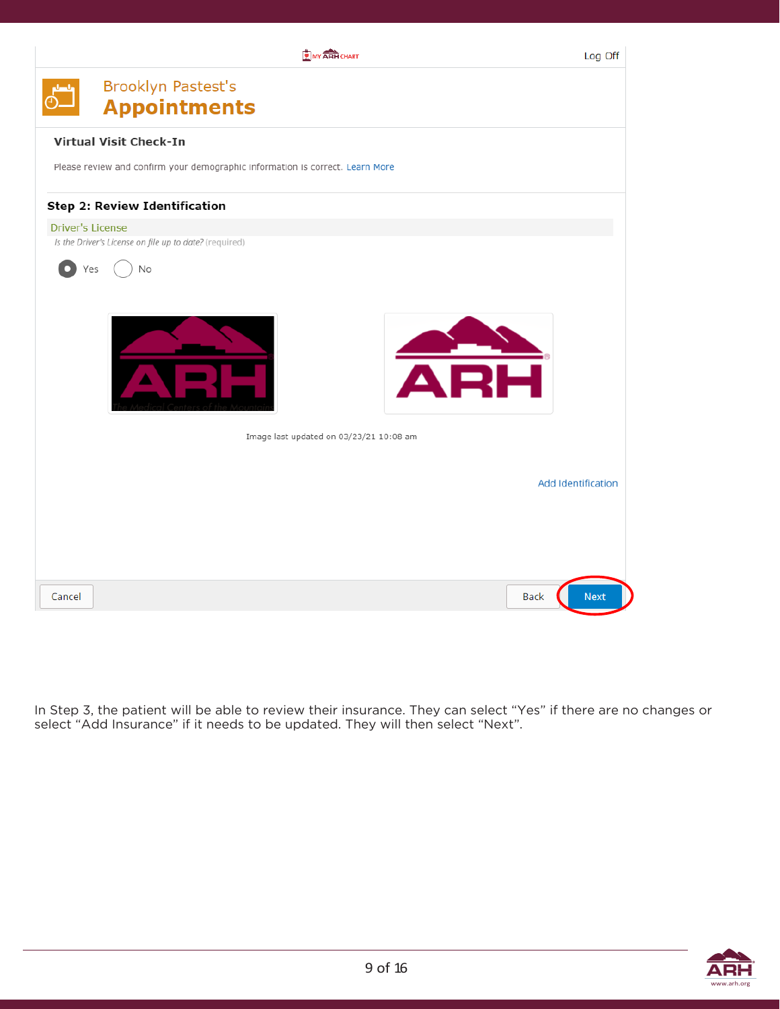

In Step 3, the patient will be able to review their insurance. They can select "Yes" if there are no changes or select "Add Insurance" if it needs to be updated. They will then select "Next".

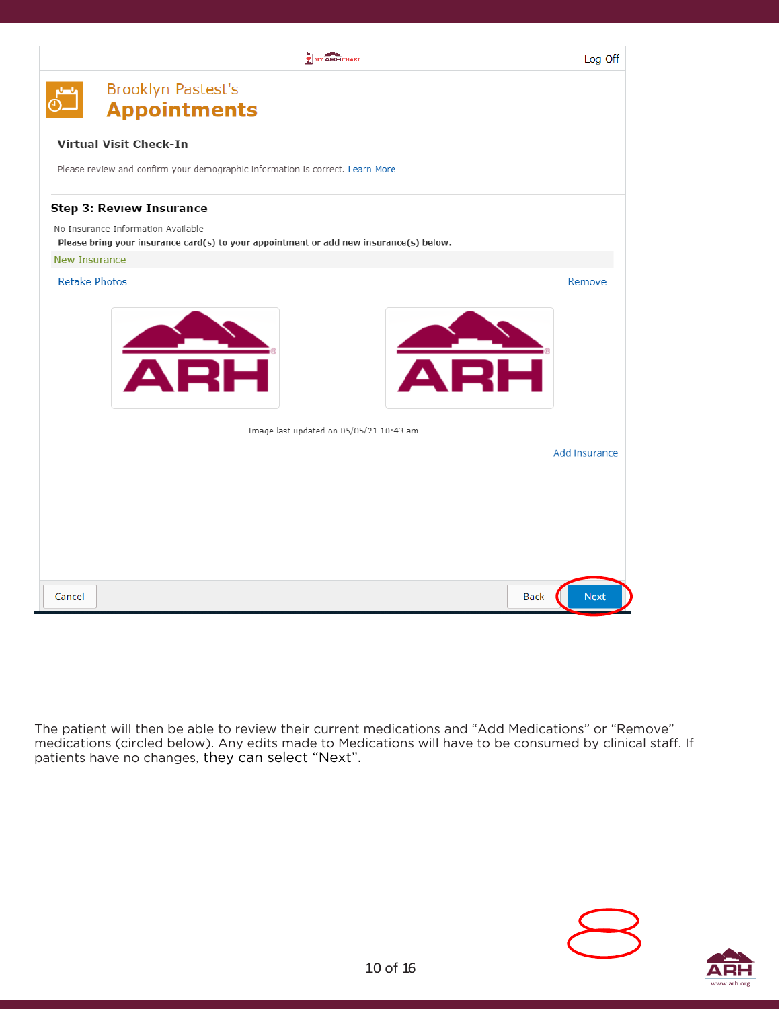

The patient will then be able to review their current medications and "Add Medications" or "Remove" medications (circled below). Any edits made to Medications will have to be consumed by clinical staff. If patients have no changes, they can select "Next".

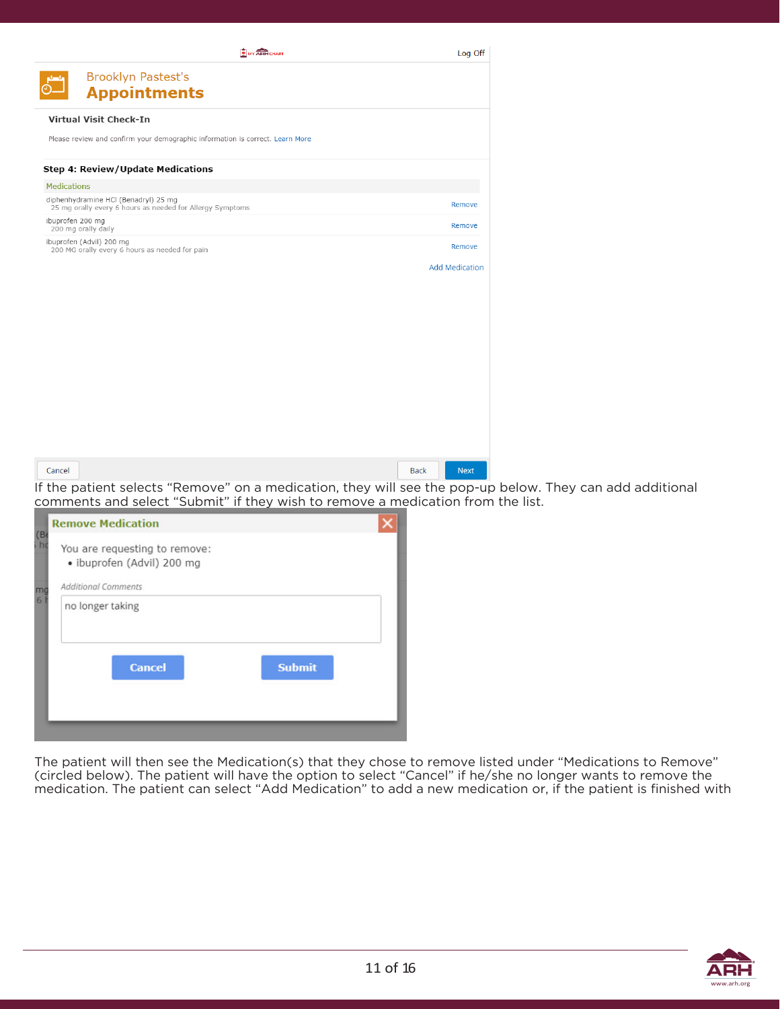| MY ARH CHART                                                                                      | Log Off                    |
|---------------------------------------------------------------------------------------------------|----------------------------|
| <b>Brooklyn Pastest's</b>                                                                         |                            |
| <b>Appointments</b>                                                                               |                            |
| <b>Virtual Visit Check-In</b>                                                                     |                            |
| Please review and confirm your demographic information is correct. Learn More                     |                            |
| Step 4: Review/Update Medications                                                                 |                            |
| <b>Medications</b>                                                                                |                            |
| diphenhydramine HCl (Benadryl) 25 mg<br>25 mg orally every 6 hours as needed for Allergy Symptoms | Remove                     |
| ibuprofen 200 mg<br>200 mg orally daily                                                           | Remove                     |
| ibuprofen (Advil) 200 mg<br>200 MG orally every 6 hours as needed for pain                        | Remove                     |
|                                                                                                   | <b>Add Medication</b>      |
|                                                                                                   |                            |
|                                                                                                   |                            |
|                                                                                                   |                            |
|                                                                                                   |                            |
|                                                                                                   |                            |
|                                                                                                   |                            |
|                                                                                                   |                            |
|                                                                                                   |                            |
|                                                                                                   |                            |
|                                                                                                   |                            |
| Cancel                                                                                            | <b>Back</b><br><b>Next</b> |

If the patient selects "Remove" on a medication, they will see the pop-up below. They can add additional comments and select "Submit" if they wish to remove a medication from the list.

|                   | <b>Remove Medication</b>                                    |  |
|-------------------|-------------------------------------------------------------|--|
| (B <sub>0</sub> ) | You are requesting to remove:<br>· ibuprofen (Advil) 200 mg |  |
| mg                | <b>Additional Comments</b>                                  |  |
| $6 \overline{}$   | no longer taking                                            |  |
|                   | <b>Submit</b><br><b>Cancel</b>                              |  |
|                   |                                                             |  |

The patient will then see the Medication(s) that they chose to remove listed under "Medications to Remove" (circled below). The patient will have the option to select "Cancel" if he/she no longer wants to remove the medication. The patient can select "Add Medication" to add a new medication or, if the patient is finished with

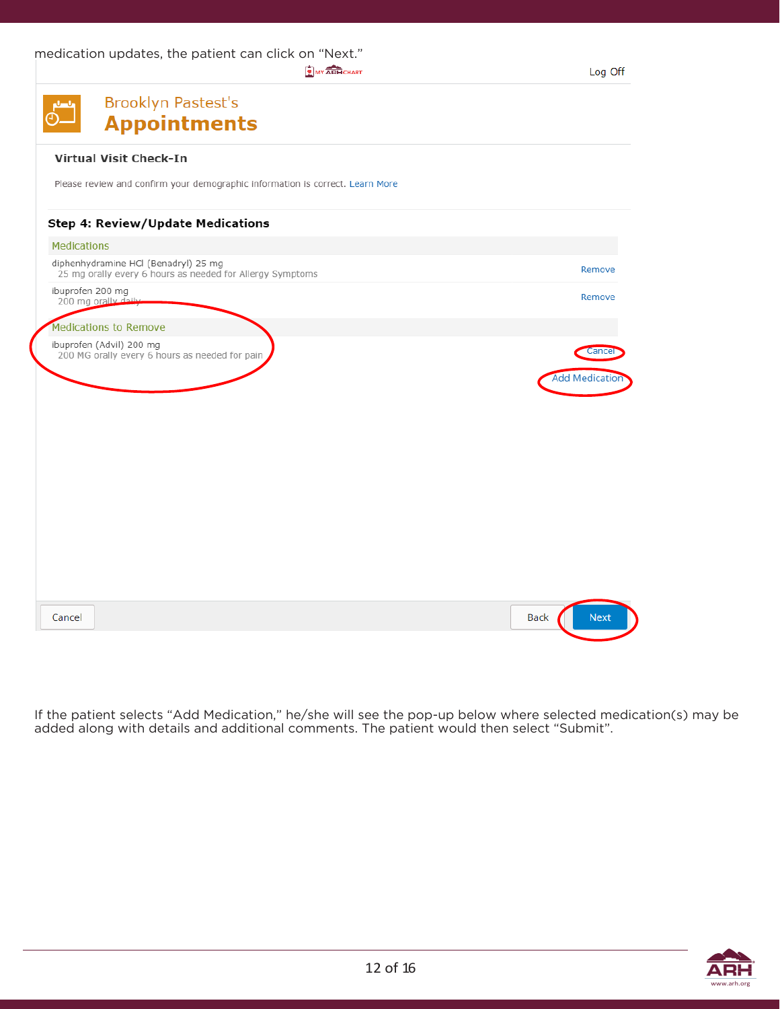medication updates, the patient can click on "Next."

MY ARH CHART

| <b>Brooklyn Pastest's</b><br><b>Appointments</b>                                                  |                                |
|---------------------------------------------------------------------------------------------------|--------------------------------|
| <b>Virtual Visit Check-In</b>                                                                     |                                |
| Please review and confirm your demographic information is correct. Learn More                     |                                |
| <b>Step 4: Review/Update Medications</b>                                                          |                                |
| <b>Medications</b>                                                                                |                                |
| diphenhydramine HCl (Benadryl) 25 mg<br>25 mg orally every 6 hours as needed for Allergy Symptoms | Remove                         |
| ibuprofen 200 mg<br>200 mg orally daily                                                           | Remove                         |
| <b>Medications to Remove</b>                                                                      |                                |
| ibuprofen (Advil) 200 mg<br>200 MG orally every 6 hours as needed for pain                        | Cance<br><b>Add Medication</b> |
|                                                                                                   |                                |
|                                                                                                   |                                |
|                                                                                                   |                                |
|                                                                                                   |                                |
|                                                                                                   |                                |
|                                                                                                   |                                |
|                                                                                                   |                                |
| Cancel                                                                                            | <b>Next</b><br>Back            |

If the patient selects "Add Medication," he/she will see the pop-up below where selected medication(s) may be added along with details and additional comments. The patient would then select "Submit".

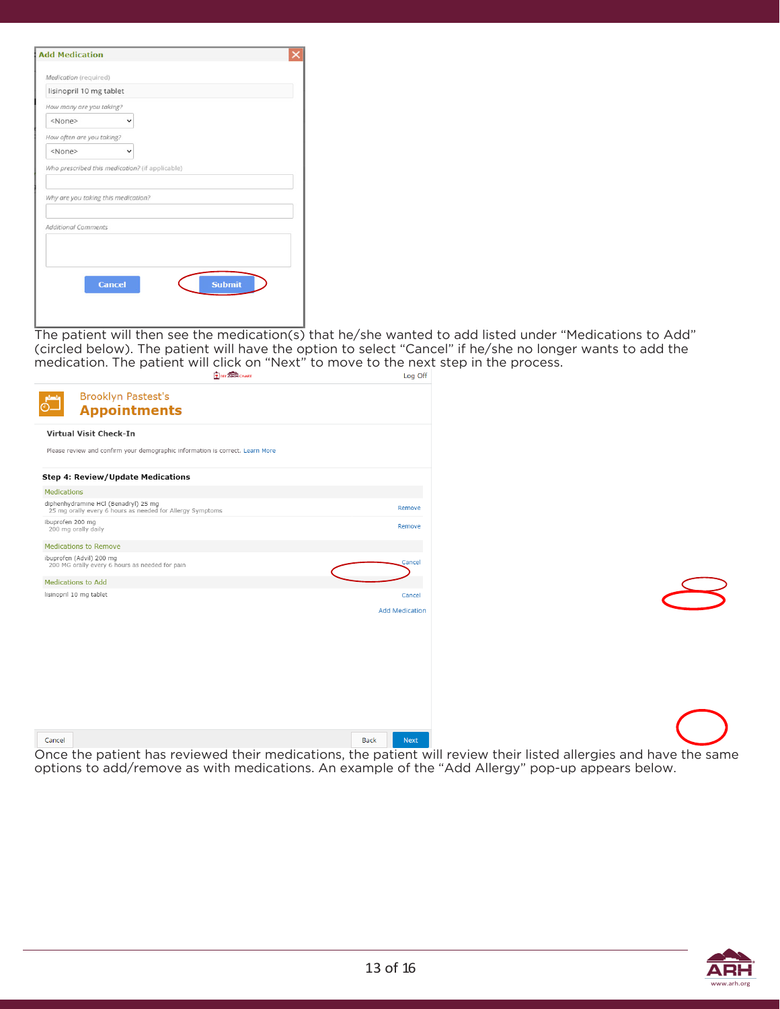| Medication (required)                                             |                                                 |  |
|-------------------------------------------------------------------|-------------------------------------------------|--|
| lisinopril 10 mg tablet                                           |                                                 |  |
| How many are you taking?                                          |                                                 |  |
| <none></none>                                                     | v                                               |  |
| How often are you taking?                                         |                                                 |  |
| <none></none>                                                     |                                                 |  |
| Why are you taking this medication?<br><b>Additional Comments</b> | Who prescribed this medication? (if applicable) |  |
|                                                                   |                                                 |  |

The patient will then see the medication(s) that he/she wanted to add listed under "Medications to Add" (circled below). The patient will have the option to select "Cancel" if he/she no longer wants to add the medication. The patient will click on "Next" to move to the next step in the process.

|             | <b>WY ARH CHART</b>                                                                               | Log Off                    |
|-------------|---------------------------------------------------------------------------------------------------|----------------------------|
| 67          | <b>Brooklyn Pastest's</b><br><b>Appointments</b>                                                  |                            |
|             | Virtual Visit Check-In                                                                            |                            |
|             | Please review and confirm your demographic information is correct. Learn More                     |                            |
|             | <b>Step 4: Review/Update Medications</b>                                                          |                            |
| Medications |                                                                                                   |                            |
|             | diphenhydramine HCl (Benadryl) 25 mg<br>25 mg orally every 6 hours as needed for Allergy Symptoms | Remove                     |
|             | ibuprofen 200 mg<br>200 mg orally daily                                                           | Remove                     |
|             | <b>Medications to Remove</b>                                                                      |                            |
|             | ibuprofen (Advil) 200 mg<br>200 MG orally every 6 hours as needed for pain                        | Cancel                     |
|             | <b>Medications to Add</b>                                                                         |                            |
|             | lisinopril 10 mg tablet                                                                           | Cancel                     |
|             |                                                                                                   | <b>Add Medication</b>      |
|             |                                                                                                   |                            |
|             |                                                                                                   |                            |
|             |                                                                                                   |                            |
|             |                                                                                                   |                            |
|             |                                                                                                   |                            |
|             |                                                                                                   |                            |
|             |                                                                                                   |                            |
|             |                                                                                                   |                            |
| Cancel      |                                                                                                   | <b>Back</b><br><b>Next</b> |
|             | $\cdots$<br>$\cdot$ $\cdot$<br>. .<br>.                                                           | . .                        |

Once the patient has reviewed their medications, the patient will review their listed allergies and have the same options to add/remove as with medications. An example of the "Add Allergy" pop-up appears below.

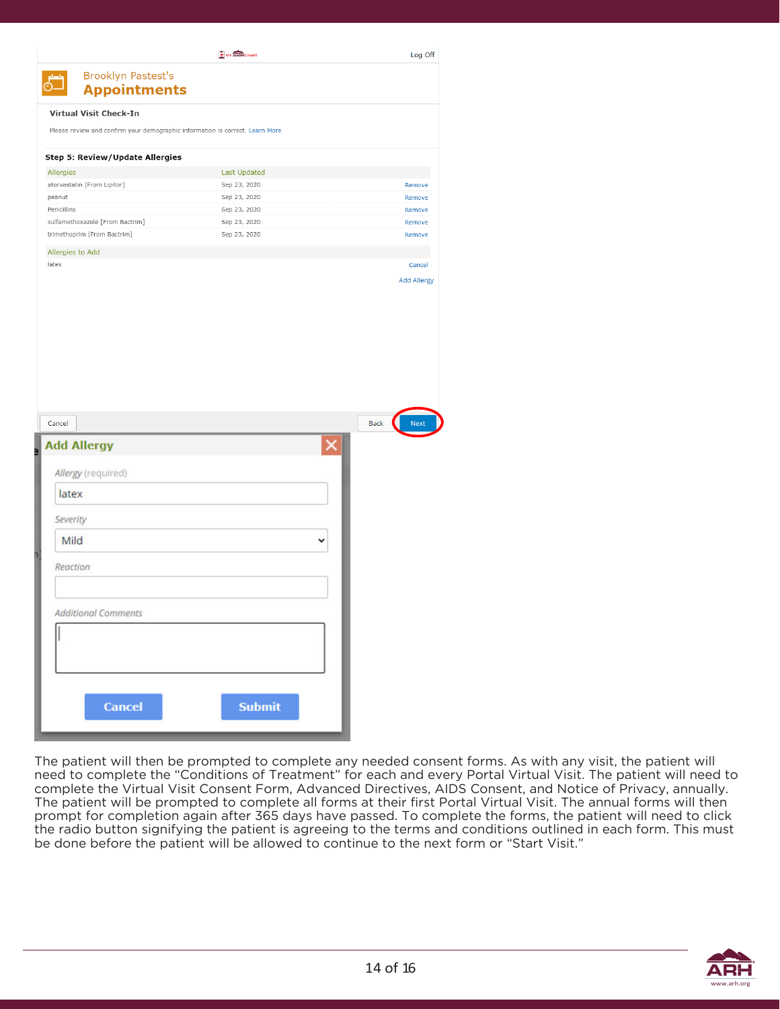| <b>Brooklyn Pastest's</b><br><b>Appointments</b>                              |                     | Log Off                    |
|-------------------------------------------------------------------------------|---------------------|----------------------------|
|                                                                               |                     |                            |
| Virtual Visit Check-In                                                        |                     |                            |
| Please review and confirm your demographic information is correct. Learn More |                     |                            |
| Step 5: Review/Update Allergies                                               |                     |                            |
| Allergies                                                                     | <b>Last Updated</b> |                            |
| atorvastatin [From Lipitor]                                                   | Sep 23, 2020        | Remove                     |
| peanut                                                                        | Sep 23, 2020        | Remove                     |
| Penicillins                                                                   | Sep 23, 2020        | Remove                     |
| sulfamethoxazole [From Bactrim]                                               | Sep 23, 2020        | Remove                     |
| trimethoprim [From Bactrim]                                                   | Sep 23, 2020        | Remove                     |
| Allergies to Add                                                              |                     |                            |
| latex                                                                         |                     | Cancel                     |
|                                                                               |                     | <b>Add Allergy</b>         |
|                                                                               |                     |                            |
|                                                                               |                     |                            |
|                                                                               |                     |                            |
|                                                                               |                     |                            |
|                                                                               |                     |                            |
|                                                                               |                     |                            |
|                                                                               |                     |                            |
| Cancel                                                                        |                     | <b>Back</b><br><b>Next</b> |
|                                                                               |                     |                            |
| <b>Add Allergy</b>                                                            |                     |                            |
| Allergy (required)                                                            |                     |                            |
| latex                                                                         |                     |                            |
|                                                                               |                     |                            |
| Severity                                                                      |                     |                            |
| Mild                                                                          |                     |                            |
| Reaction                                                                      |                     |                            |
|                                                                               |                     |                            |
| <b>Additional Comments</b>                                                    |                     |                            |
|                                                                               |                     |                            |
|                                                                               |                     |                            |
|                                                                               |                     |                            |
|                                                                               |                     |                            |
|                                                                               |                     |                            |
| <b>Cancel</b>                                                                 | <b>Submit</b>       |                            |

The patient will then be prompted to complete any needed consent forms. As with any visit, the patient will need to complete the "Conditions of Treatment" for each and every Portal Virtual Visit. The patient will need to complete the Virtual Visit Consent Form, Advanced Directives, AIDS Consent, and Notice of Privacy, annually. The patient will be prompted to complete all forms at their first Portal Virtual Visit. The annual forms will then prompt for completion again after 365 days have passed. To complete the forms, the patient will need to click the radio button signifying the patient is agreeing to the terms and conditions outlined in each form. This must be done before the patient will be allowed to continue to the next form or "Start Visit."

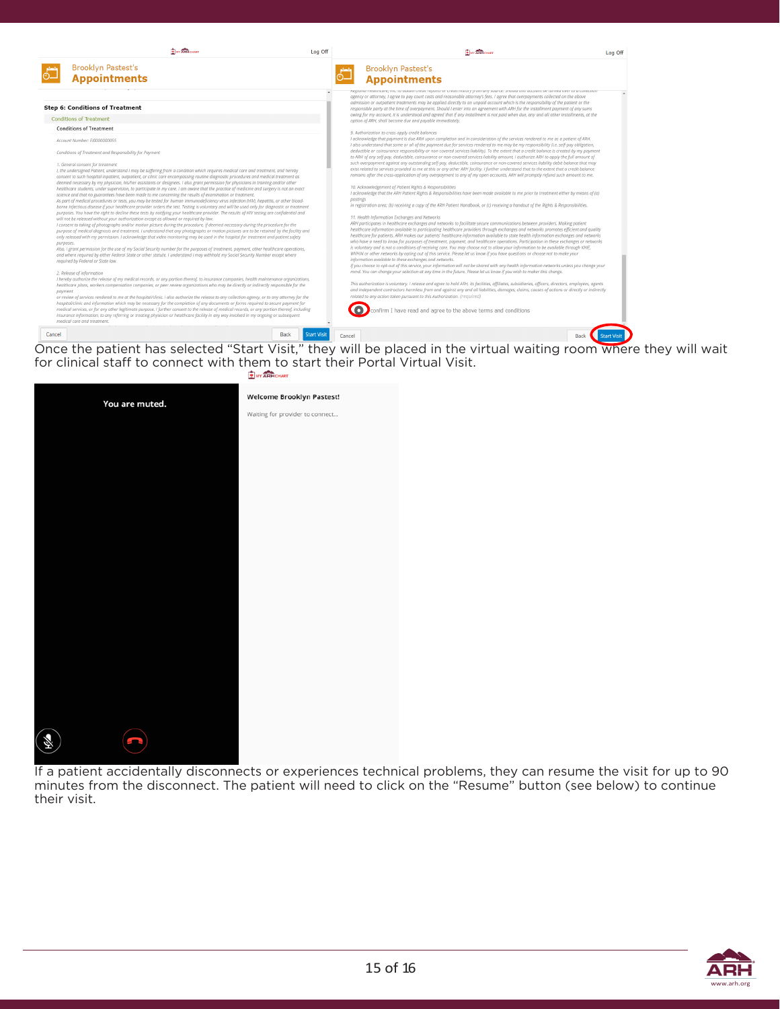|           | <b>E MY ARTICHART</b>                                                                                                                                                                                                                                                                                                                                                                                                       | Log Off            | <b>WY ARHOURI</b>                                                                                                                                                                                                                                                                                                                                                                                                  | Log Off                          |
|-----------|-----------------------------------------------------------------------------------------------------------------------------------------------------------------------------------------------------------------------------------------------------------------------------------------------------------------------------------------------------------------------------------------------------------------------------|--------------------|--------------------------------------------------------------------------------------------------------------------------------------------------------------------------------------------------------------------------------------------------------------------------------------------------------------------------------------------------------------------------------------------------------------------|----------------------------------|
|           | <b>Brooklyn Pastest's</b>                                                                                                                                                                                                                                                                                                                                                                                                   |                    | <b>Brooklyn Pastest's</b>                                                                                                                                                                                                                                                                                                                                                                                          |                                  |
|           | <b>Appointments</b>                                                                                                                                                                                                                                                                                                                                                                                                         |                    | <b>Appointments</b>                                                                                                                                                                                                                                                                                                                                                                                                |                                  |
|           |                                                                                                                                                                                                                                                                                                                                                                                                                             |                    | אפצוטותו חינווות וויב ווה. גט טטנטור כרפות רפטטרפט טר כרפטונ ווואסט צו חינווין אטערכפ. אוטעוס טווא טכנטווה טיב מורופט טיפר גט ט כטוויבמטר<br>agency or attorney, I agree to pay court costs and reasonable attorney's fees. I agree that overpayments collected on the above                                                                                                                                       |                                  |
|           | <b>Step 6: Conditions of Treatment</b>                                                                                                                                                                                                                                                                                                                                                                                      |                    | admission or outpatient treatments may be applied directly to an unpaid account which is the responsibility of the patient or the<br>responsible party at the time of overpayment. Should I enter into an agreement with ARH for the installment payment of any sums                                                                                                                                               |                                  |
|           | <b>Conditions of Treatment</b>                                                                                                                                                                                                                                                                                                                                                                                              |                    | owing for my account, it is understood and agreed that if any installment is not paid when due, any and all other installments, at the<br>option of ARH, shall become due and payable immediately.                                                                                                                                                                                                                 |                                  |
|           | <b>Conditions of Treatment</b>                                                                                                                                                                                                                                                                                                                                                                                              |                    | 9. Authorization to cross-apply credit balances                                                                                                                                                                                                                                                                                                                                                                    |                                  |
|           | Account Number: E10000000055                                                                                                                                                                                                                                                                                                                                                                                                |                    | I acknowledge that payment is due ARH upon completion and in consideration of the services rendered to me as a patient of ARH.<br>I also understand that some or all of the payment due for services rendered to me may be my responsibility (i.e. self-pay obligation,                                                                                                                                            |                                  |
|           | Conditions of Treatment and Responsibility for Payment                                                                                                                                                                                                                                                                                                                                                                      |                    | deductible or coinsurance responsibility or non-covered services liability). To the extent that a credit balance is created by my payment<br>to ARH of any self-pay, deductible, coinsurance or non-covered services liability amount, I authorize ARH to apply the full amount of                                                                                                                                 |                                  |
|           | 1. General consent for treatment<br>I, the undersigned Patient, understand I may be suffering from a condition which requires medical care and treatment, and hereby<br>consent to such hospital inpatient, outpatient, or clinic care encompassing routine diagnostic procedures and medical treatment as                                                                                                                  |                    | such overpayment against any outstanding self-pay, deductible, coinsurance or non-covered services liability debit balance that may<br>exist related to services provided to me at this or any other ARH facility. I further understand that to the extent that a credit balance<br>remains after the cross-application of any overpayment to any of my open accounts, ARH will promptly refund such amount to me. |                                  |
|           | deemed necessary by my physician, his/her assistants or designees. I also grant permission for physicians in training and/or other<br>healthcare students, under supervision, to participate in my care. I am aware that the practice of medicine and surgery is not an exact                                                                                                                                               |                    | 10. Acknowledgement of Patient Rights & Responsibilities<br>I acknowledge that the ARH Patient Rights & Responsibilities have been made available to me prior to treatment either by means of (a)                                                                                                                                                                                                                  |                                  |
|           | science and that no guarantees have been made to me concerning the results of examination or treatment.<br>As part of medical procedures or tests, you may be tested for human immunodeficiency virus infection (HIV), hepatitis, or other blood-<br>borne infectious disease if your healthcare provider orders the test. Testing is voluntary and will be used only for diagnostic or treatment                           |                    | postings<br>in registration area; (b) receiving a copy of the ARH Patient Handbook, or (c) receiving a handout of the Rights & Responsibilities.                                                                                                                                                                                                                                                                   |                                  |
|           | purposes. You have the right to decline these tests by notifying your healthcare provider. The results of HIV testing are confidential and<br>will not be released without your authorization except as allowed or reauired by law.                                                                                                                                                                                         |                    | 11. Health Information Exchanges and Networks                                                                                                                                                                                                                                                                                                                                                                      |                                  |
|           | I consent to taking of photographs and/or motion picture during the procedure, if deemed necessary during the procedure for the<br>purpose of medical diagnosis and treatment. I understand that any photographs or motion pictures are to be retained by the facility and<br>only released with my permission. I acknowledge that video monitoring may be used in the hospital for treatment and patient safety            |                    | ARH participates in healthcare exchanges and networks to facilitate secure communications between providers. Making patient<br>healthcare information available to participating healthcare providers through exchanges and networks promotes efficient and quality<br>healthcare for patients. ARH makes our patients' healthcare information available to state health information exchanges and networks        |                                  |
| purposes. | Also, I grant permission for the use of my Social Security number for the purposes of treatment, payment, other healthcare operations,                                                                                                                                                                                                                                                                                      |                    | who have a need to know for purposes of treatment, payment, and healthcare operations. Participation in these exchanges or networks<br>is voluntary and is not a conditions of receiving care. You may choose not to allow your information to be available through KHIE,                                                                                                                                          |                                  |
|           | and where required by either Federal State or other statute. I understand I may withhold my Social Security Number except where<br>reauired by Federal or State law.                                                                                                                                                                                                                                                        |                    | WVHIN or other networks by opting out of this service. Please let us know if you have questions or choose not to make your<br>information available to these exchanges and networks.                                                                                                                                                                                                                               |                                  |
|           | 2. Release of information                                                                                                                                                                                                                                                                                                                                                                                                   |                    | If you choose to opt-out of this service, your information will not be shared with any health information networks unless you change your<br>mind. You can change your selection at any time in the future. Please let us know if you wish to maker this change.                                                                                                                                                   |                                  |
|           | I hereby authorize the release of my medical records, or any portion thereof, to insurance companies, health maintenance organizations,<br>healthcare plans, workers compensation companies, or peer review organizations who may be directly or indirectly responsible for the                                                                                                                                             |                    | This authorization is voluntary. I release and agree to hold ARH, its facilities, affiliates, subsidiaries, officers, directors, employees, agents                                                                                                                                                                                                                                                                 |                                  |
| payment   | or review of services rendered to me at the hospital/clinic. I also authorize the release to any collection agency, or to any attorney for the                                                                                                                                                                                                                                                                              |                    | and independent contractors harmless from and against any and all liabilities, damages, claims, causes of actions or directly or indirectly<br>related to any action taken pursuant to this Authorization. (required)                                                                                                                                                                                              |                                  |
|           | hospital/clinic and information which may be necessary for the completion of any documents or forms required to secure payment for<br>medical services, or for any other legitimate purpose. I further consent to the release of medical records, or any portion thereof, including<br>insurance information, to any referring or treating physician or healthcare facility in any way involved in my ongoing or subsequent |                    | $\bullet$<br>confirm I have read and agree to the above terms and conditions                                                                                                                                                                                                                                                                                                                                       |                                  |
|           | medical care and treatment.                                                                                                                                                                                                                                                                                                                                                                                                 |                    |                                                                                                                                                                                                                                                                                                                                                                                                                    |                                  |
| Cancel    | <b>Back</b>                                                                                                                                                                                                                                                                                                                                                                                                                 | <b>Start Visit</b> | Cancel                                                                                                                                                                                                                                                                                                                                                                                                             | <b>Start Visi</b><br><b>Back</b> |

Once the patient has selected "Start Visit," they will be placed in the virtual waiting room where they will wait for clinical staff to connect with them to start their Portal Virtual Visit.



If a patient accidentally disconnects or experiences technical problems, they can resume the visit for up to 90 minutes from the disconnect. The patient will need to click on the "Resume" button (see below) to continue their visit.